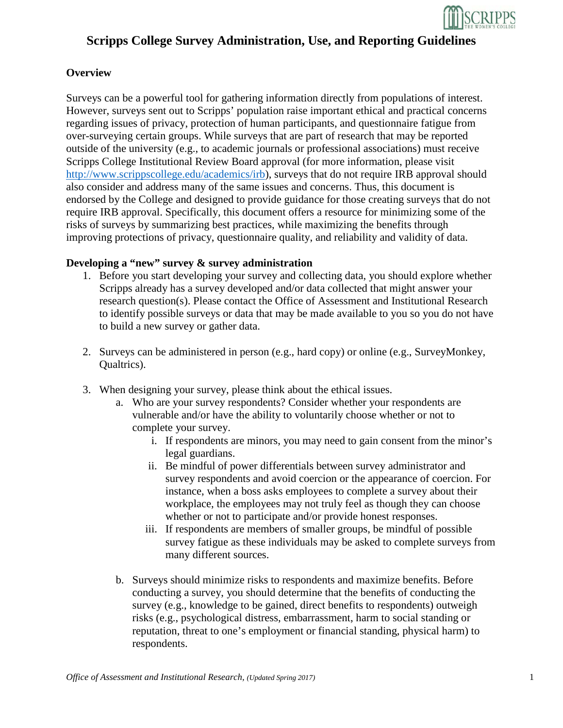

### **Overview**

Surveys can be a powerful tool for gathering information directly from populations of interest. However, surveys sent out to Scripps' population raise important ethical and practical concerns regarding issues of privacy, protection of human participants, and questionnaire fatigue from over-surveying certain groups. While surveys that are part of research that may be reported outside of the university (e.g., to academic journals or professional associations) must receive Scripps College Institutional Review Board approval (for more information, please visit [http://www.scrippscollege.edu/academics/irb\)](http://www.scrippscollege.edu/academics/irb), surveys that do not require IRB approval should also consider and address many of the same issues and concerns. Thus, this document is endorsed by the College and designed to provide guidance for those creating surveys that do not require IRB approval. Specifically, this document offers a resource for minimizing some of the risks of surveys by summarizing best practices, while maximizing the benefits through improving protections of privacy, questionnaire quality, and reliability and validity of data.

#### **Developing a "new" survey & survey administration**

- 1. Before you start developing your survey and collecting data, you should explore whether Scripps already has a survey developed and/or data collected that might answer your research question(s). Please contact the Office of Assessment and Institutional Research to identify possible surveys or data that may be made available to you so you do not have to build a new survey or gather data.
- 2. Surveys can be administered in person (e.g., hard copy) or online (e.g., SurveyMonkey, Qualtrics).
- 3. When designing your survey, please think about the ethical issues.
	- a. Who are your survey respondents? Consider whether your respondents are vulnerable and/or have the ability to voluntarily choose whether or not to complete your survey.
		- i. If respondents are minors, you may need to gain consent from the minor's legal guardians.
		- ii. Be mindful of power differentials between survey administrator and survey respondents and avoid coercion or the appearance of coercion. For instance, when a boss asks employees to complete a survey about their workplace, the employees may not truly feel as though they can choose whether or not to participate and/or provide honest responses.
		- iii. If respondents are members of smaller groups, be mindful of possible survey fatigue as these individuals may be asked to complete surveys from many different sources.
	- b. Surveys should minimize risks to respondents and maximize benefits. Before conducting a survey, you should determine that the benefits of conducting the survey (e.g., knowledge to be gained, direct benefits to respondents) outweigh risks (e.g., psychological distress, embarrassment, harm to social standing or reputation, threat to one's employment or financial standing, physical harm) to respondents.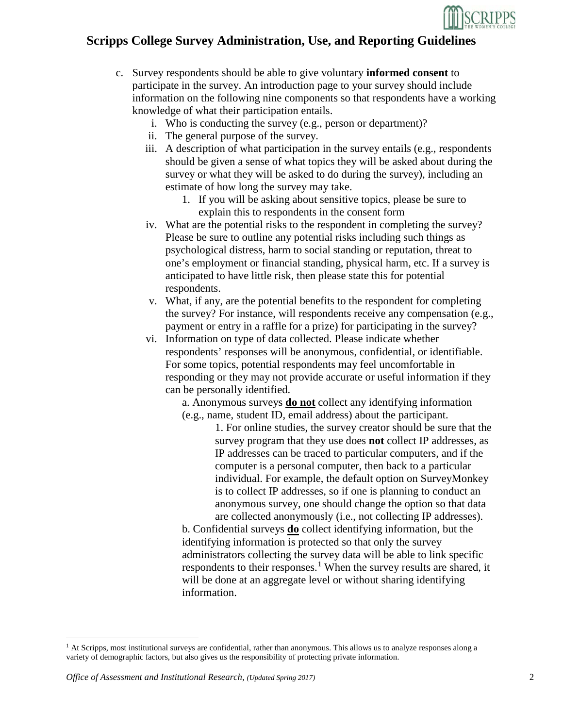

- c. Survey respondents should be able to give voluntary **informed consent** to participate in the survey. An introduction page to your survey should include information on the following nine components so that respondents have a working knowledge of what their participation entails.
	- i. Who is conducting the survey (e.g., person or department)?
	- ii. The general purpose of the survey.
	- iii. A description of what participation in the survey entails (e.g., respondents should be given a sense of what topics they will be asked about during the survey or what they will be asked to do during the survey), including an estimate of how long the survey may take.
		- 1. If you will be asking about sensitive topics, please be sure to explain this to respondents in the consent form
	- iv. What are the potential risks to the respondent in completing the survey? Please be sure to outline any potential risks including such things as psychological distress, harm to social standing or reputation, threat to one's employment or financial standing, physical harm, etc. If a survey is anticipated to have little risk, then please state this for potential respondents.
	- v. What, if any, are the potential benefits to the respondent for completing the survey? For instance, will respondents receive any compensation (e.g., payment or entry in a raffle for a prize) for participating in the survey?
	- vi. Information on type of data collected. Please indicate whether respondents' responses will be anonymous, confidential, or identifiable. For some topics, potential respondents may feel uncomfortable in responding or they may not provide accurate or useful information if they can be personally identified.

a. Anonymous surveys **do not** collect any identifying information (e.g., name, student ID, email address) about the participant.

1. For online studies, the survey creator should be sure that the survey program that they use does **not** collect IP addresses, as IP addresses can be traced to particular computers, and if the computer is a personal computer, then back to a particular individual. For example, the default option on SurveyMonkey is to collect IP addresses, so if one is planning to conduct an anonymous survey, one should change the option so that data are collected anonymously (i.e., not collecting IP addresses).

b. Confidential surveys **do** collect identifying information, but the identifying information is protected so that only the survey administrators collecting the survey data will be able to link specific respondents to their responses.<sup>[1](#page-1-0)</sup> When the survey results are shared, it will be done at an aggregate level or without sharing identifying information.

l

<span id="page-1-0"></span> $<sup>1</sup>$  At Scripps, most institutional surveys are confidential, rather than anonymous. This allows us to analyze responses along a</sup> variety of demographic factors, but also gives us the responsibility of protecting private information.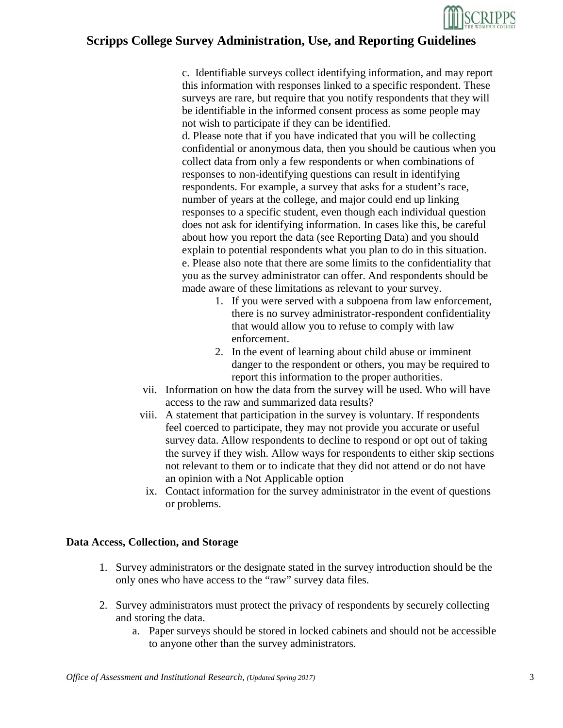

c. Identifiable surveys collect identifying information, and may report this information with responses linked to a specific respondent. These surveys are rare, but require that you notify respondents that they will be identifiable in the informed consent process as some people may not wish to participate if they can be identified.

d. Please note that if you have indicated that you will be collecting confidential or anonymous data, then you should be cautious when you collect data from only a few respondents or when combinations of responses to non-identifying questions can result in identifying respondents. For example, a survey that asks for a student's race, number of years at the college, and major could end up linking responses to a specific student, even though each individual question does not ask for identifying information. In cases like this, be careful about how you report the data (see Reporting Data) and you should explain to potential respondents what you plan to do in this situation. e. Please also note that there are some limits to the confidentiality that you as the survey administrator can offer. And respondents should be made aware of these limitations as relevant to your survey.

- 1. If you were served with a subpoena from law enforcement, there is no survey administrator-respondent confidentiality that would allow you to refuse to comply with law enforcement.
- 2. In the event of learning about child abuse or imminent danger to the respondent or others, you may be required to report this information to the proper authorities.
- vii. Information on how the data from the survey will be used. Who will have access to the raw and summarized data results?
- viii. A statement that participation in the survey is voluntary. If respondents feel coerced to participate, they may not provide you accurate or useful survey data. Allow respondents to decline to respond or opt out of taking the survey if they wish. Allow ways for respondents to either skip sections not relevant to them or to indicate that they did not attend or do not have an opinion with a Not Applicable option
- ix. Contact information for the survey administrator in the event of questions or problems.

#### **Data Access, Collection, and Storage**

- 1. Survey administrators or the designate stated in the survey introduction should be the only ones who have access to the "raw" survey data files.
- 2. Survey administrators must protect the privacy of respondents by securely collecting and storing the data.
	- a. Paper surveys should be stored in locked cabinets and should not be accessible to anyone other than the survey administrators.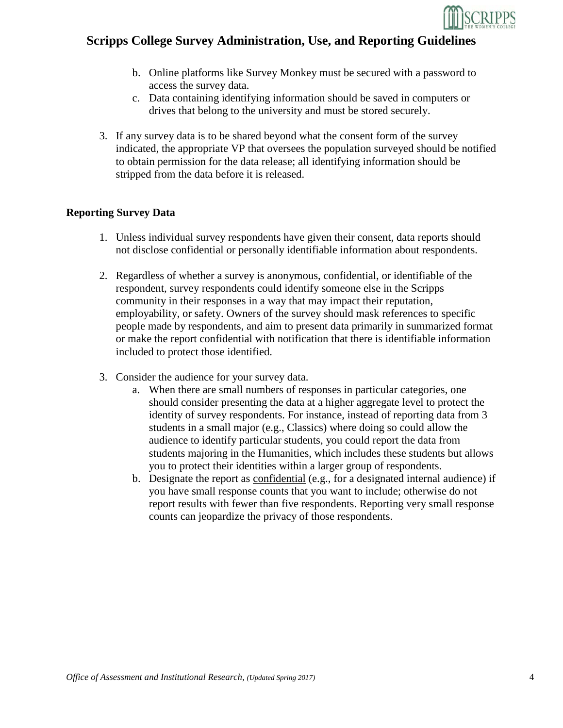

- b. Online platforms like Survey Monkey must be secured with a password to access the survey data.
- c. Data containing identifying information should be saved in computers or drives that belong to the university and must be stored securely.
- 3. If any survey data is to be shared beyond what the consent form of the survey indicated, the appropriate VP that oversees the population surveyed should be notified to obtain permission for the data release; all identifying information should be stripped from the data before it is released.

### **Reporting Survey Data**

- 1. Unless individual survey respondents have given their consent, data reports should not disclose confidential or personally identifiable information about respondents.
- 2. Regardless of whether a survey is anonymous, confidential, or identifiable of the respondent, survey respondents could identify someone else in the Scripps community in their responses in a way that may impact their reputation, employability, or safety. Owners of the survey should mask references to specific people made by respondents, and aim to present data primarily in summarized format or make the report confidential with notification that there is identifiable information included to protect those identified.
- 3. Consider the audience for your survey data.
	- a. When there are small numbers of responses in particular categories, one should consider presenting the data at a higher aggregate level to protect the identity of survey respondents. For instance, instead of reporting data from 3 students in a small major (e.g., Classics) where doing so could allow the audience to identify particular students, you could report the data from students majoring in the Humanities, which includes these students but allows you to protect their identities within a larger group of respondents.
	- b. Designate the report as confidential (e.g., for a designated internal audience) if you have small response counts that you want to include; otherwise do not report results with fewer than five respondents. Reporting very small response counts can jeopardize the privacy of those respondents.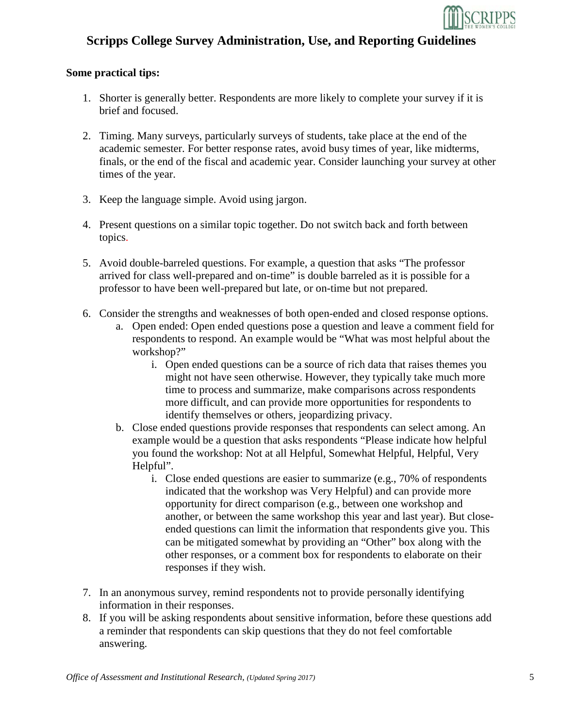

### **Some practical tips:**

- 1. Shorter is generally better. Respondents are more likely to complete your survey if it is brief and focused.
- 2. Timing. Many surveys, particularly surveys of students, take place at the end of the academic semester. For better response rates, avoid busy times of year, like midterms, finals, or the end of the fiscal and academic year. Consider launching your survey at other times of the year.
- 3. Keep the language simple. Avoid using jargon.
- 4. Present questions on a similar topic together. Do not switch back and forth between topics.
- 5. Avoid double-barreled questions. For example, a question that asks "The professor arrived for class well-prepared and on-time" is double barreled as it is possible for a professor to have been well-prepared but late, or on-time but not prepared.
- 6. Consider the strengths and weaknesses of both open-ended and closed response options.
	- a. Open ended: Open ended questions pose a question and leave a comment field for respondents to respond. An example would be "What was most helpful about the workshop?"
		- i. Open ended questions can be a source of rich data that raises themes you might not have seen otherwise. However, they typically take much more time to process and summarize, make comparisons across respondents more difficult, and can provide more opportunities for respondents to identify themselves or others, jeopardizing privacy.
	- b. Close ended questions provide responses that respondents can select among. An example would be a question that asks respondents "Please indicate how helpful you found the workshop: Not at all Helpful, Somewhat Helpful, Helpful, Very Helpful".
		- i. Close ended questions are easier to summarize (e.g., 70% of respondents indicated that the workshop was Very Helpful) and can provide more opportunity for direct comparison (e.g., between one workshop and another, or between the same workshop this year and last year). But closeended questions can limit the information that respondents give you. This can be mitigated somewhat by providing an "Other" box along with the other responses, or a comment box for respondents to elaborate on their responses if they wish.
- 7. In an anonymous survey, remind respondents not to provide personally identifying information in their responses.
- 8. If you will be asking respondents about sensitive information, before these questions add a reminder that respondents can skip questions that they do not feel comfortable answering.